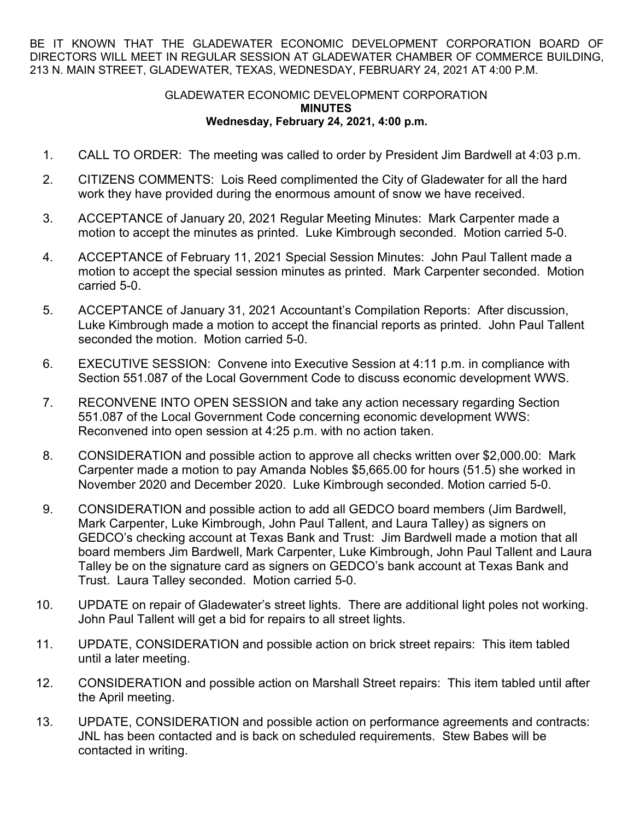BE IT KNOWN THAT THE GLADEWATER ECONOMIC DEVELOPMENT CORPORATION BOARD OF DIRECTORS WILL MEET IN REGULAR SESSION AT GLADEWATER CHAMBER OF COMMERCE BUILDING, 213 N. MAIN STREET, GLADEWATER, TEXAS, WEDNESDAY, FEBRUARY 24, 2021 AT 4:00 P.M.

## GLADEWATER ECONOMIC DEVELOPMENT CORPORATION **MINUTES Wednesday, February 24, 2021, 4:00 p.m.**

- 1. CALL TO ORDER: The meeting was called to order by President Jim Bardwell at 4:03 p.m.
- 2. CITIZENS COMMENTS: Lois Reed complimented the City of Gladewater for all the hard work they have provided during the enormous amount of snow we have received.
- 3. ACCEPTANCE of January 20, 2021 Regular Meeting Minutes: Mark Carpenter made a motion to accept the minutes as printed. Luke Kimbrough seconded. Motion carried 5-0.
- 4. ACCEPTANCE of February 11, 2021 Special Session Minutes: John Paul Tallent made a motion to accept the special session minutes as printed. Mark Carpenter seconded. Motion carried 5-0.
- 5. ACCEPTANCE of January 31, 2021 Accountant's Compilation Reports: After discussion, Luke Kimbrough made a motion to accept the financial reports as printed. John Paul Tallent seconded the motion. Motion carried 5-0.
- 6. EXECUTIVE SESSION: Convene into Executive Session at 4:11 p.m. in compliance with Section 551.087 of the Local Government Code to discuss economic development WWS.
- 7. RECONVENE INTO OPEN SESSION and take any action necessary regarding Section 551.087 of the Local Government Code concerning economic development WWS: Reconvened into open session at 4:25 p.m. with no action taken.
- 8. CONSIDERATION and possible action to approve all checks written over \$2,000.00: Mark Carpenter made a motion to pay Amanda Nobles \$5,665.00 for hours (51.5) she worked in November 2020 and December 2020. Luke Kimbrough seconded. Motion carried 5-0.
- 9. CONSIDERATION and possible action to add all GEDCO board members (Jim Bardwell, Mark Carpenter, Luke Kimbrough, John Paul Tallent, and Laura Talley) as signers on GEDCO's checking account at Texas Bank and Trust: Jim Bardwell made a motion that all board members Jim Bardwell, Mark Carpenter, Luke Kimbrough, John Paul Tallent and Laura Talley be on the signature card as signers on GEDCO's bank account at Texas Bank and Trust. Laura Talley seconded. Motion carried 5-0.
- 10. UPDATE on repair of Gladewater's street lights. There are additional light poles not working. John Paul Tallent will get a bid for repairs to all street lights.
- 11. UPDATE, CONSIDERATION and possible action on brick street repairs: This item tabled until a later meeting.
- 12. CONSIDERATION and possible action on Marshall Street repairs: This item tabled until after the April meeting.
- 13. UPDATE, CONSIDERATION and possible action on performance agreements and contracts: JNL has been contacted and is back on scheduled requirements. Stew Babes will be contacted in writing.